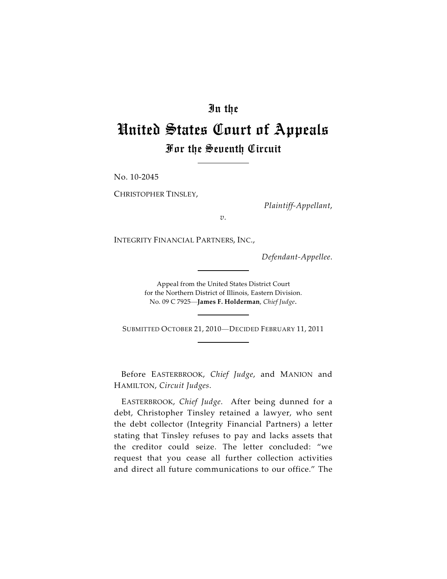## In the

# United States Court of Appeals For the Seventh Circuit

No. 10-2045

CHRISTOPHER TINSLEY,

*Plaintiff-Appellant*,

*v.*

INTEGRITY FINANCIAL PARTNERS, INC.,

*Defendant-Appellee*.

Appeal from the United States District Court for the Northern District of Illinois, Eastern Division. No. 09 C 7925—**James F. Holderman**, *Chief Judge*.

SUBMITTED OCTOBER 21, 2010—DECIDED FEBRUARY 11, 2011

Before EASTERBROOK, *Chief Judge*, and MANION and HAMILTON, *Circuit Judges*.

EASTERBROOK, *Chief Judge*. After being dunned for a debt, Christopher Tinsley retained a lawyer, who sent the debt collector (Integrity Financial Partners) a letter stating that Tinsley refuses to pay and lacks assets that the creditor could seize. The letter concluded: "we request that you cease all further collection activities and direct all future communications to our office." The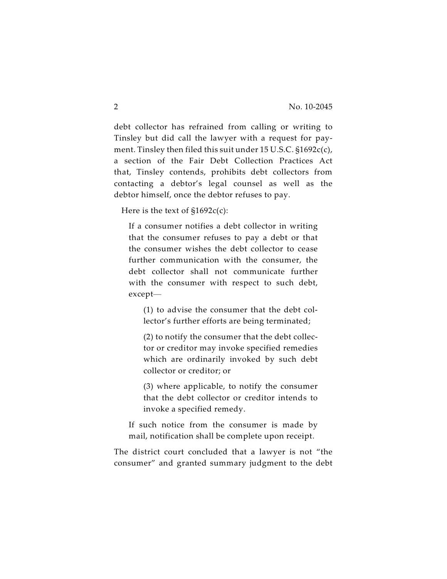debt collector has refrained from calling or writing to Tinsley but did call the lawyer with a request for payment. Tinsley then filed this suit under 15 U.S.C. §1692c(c), a section of the Fair Debt Collection Practices Act that, Tinsley contends, prohibits debt collectors from contacting a debtor's legal counsel as well as the debtor himself, once the debtor refuses to pay.

Here is the text of  $$1692c(c)$ :

If a consumer notifies a debt collector in writing that the consumer refuses to pay a debt or that the consumer wishes the debt collector to cease further communication with the consumer, the debt collector shall not communicate further with the consumer with respect to such debt, except—

(1) to advise the consumer that the debt collector's further efforts are being terminated;

(2) to notify the consumer that the debt collector or creditor may invoke specified remedies which are ordinarily invoked by such debt collector or creditor; or

(3) where applicable, to notify the consumer that the debt collector or creditor intends to invoke a specified remedy.

If such notice from the consumer is made by mail, notification shall be complete upon receipt.

The district court concluded that a lawyer is not "the consumer" and granted summary judgment to the debt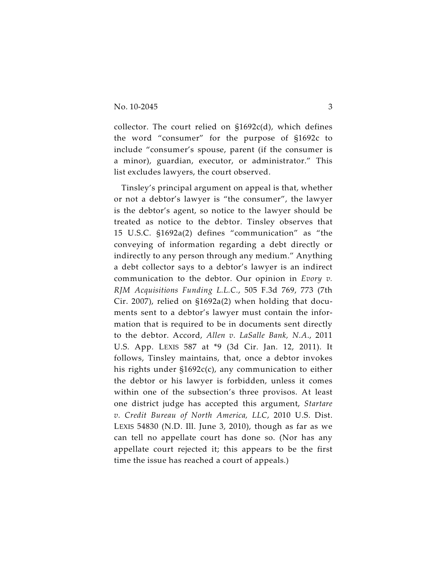collector. The court relied on  $$1692c(d)$ , which defines the word "consumer" for the purpose of §1692c to include "consumer's spouse, parent (if the consumer is a minor), guardian, executor, or administrator." This list excludes lawyers, the court observed.

Tinsley's principal argument on appeal is that, whether or not a debtor's lawyer is "the consumer", the lawyer is the debtor's agent, so notice to the lawyer should be treated as notice to the debtor. Tinsley observes that 15 U.S.C. §1692a(2) defines "communication" as "the conveying of information regarding a debt directly or indirectly to any person through any medium." Anything a debt collector says to a debtor's lawyer is an indirect communication to the debtor. Our opinion in *Evory v. RJM Acquisitions Funding L.L.C.*, 505 F.3d 769, 773 (7th Cir. 2007), relied on §1692a(2) when holding that documents sent to a debtor's lawyer must contain the information that is required to be in documents sent directly to the debtor. Accord, *Allen v. LaSalle Bank, N.A*., 2011 U.S. App. LEXIS 587 at \*9 (3d Cir. Jan. 12, 2011). It follows, Tinsley maintains, that, once a debtor invokes his rights under §1692c(c), any communication to either the debtor or his lawyer is forbidden, unless it comes within one of the subsection's three provisos. At least one district judge has accepted this argument, *Startare v. Credit Bureau of North America, LLC*, 2010 U.S. Dist. LEXIS 54830 (N.D. Ill. June 3, 2010), though as far as we can tell no appellate court has done so. (Nor has any appellate court rejected it; this appears to be the first time the issue has reached a court of appeals.)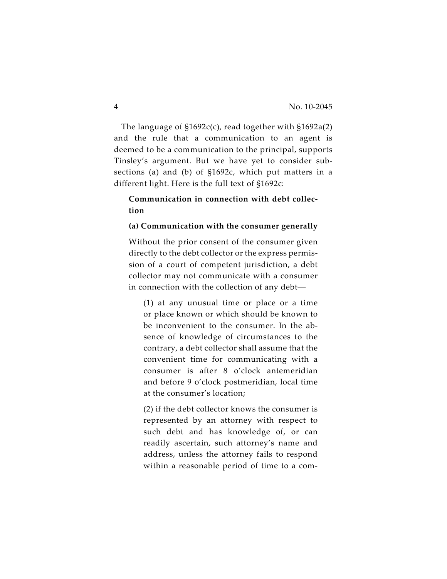The language of §1692c(c), read together with §1692a(2) and the rule that a communication to an agent is deemed to be a communication to the principal, supports Tinsley's argument. But we have yet to consider subsections (a) and (b) of §1692c, which put matters in a different light. Here is the full text of §1692c:

## **Communication in connection with debt collection**

#### **(a) Communication with the consumer generally**

Without the prior consent of the consumer given directly to the debt collector or the express permission of a court of competent jurisdiction, a debt collector may not communicate with a consumer in connection with the collection of any debt—

(1) at any unusual time or place or a time or place known or which should be known to be inconvenient to the consumer. In the absence of knowledge of circumstances to the contrary, a debt collector shall assume that the convenient time for communicating with a consumer is after 8 o'clock antemeridian and before 9 o'clock postmeridian, local time at the consumer's location;

(2) if the debt collector knows the consumer is represented by an attorney with respect to such debt and has knowledge of, or can readily ascertain, such attorney's name and address, unless the attorney fails to respond within a reasonable period of time to a com-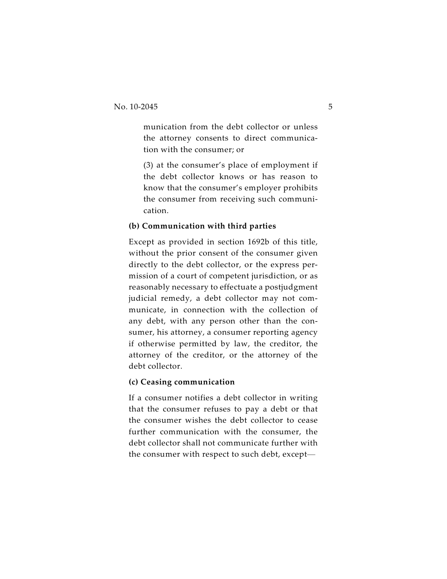munication from the debt collector or unless the attorney consents to direct communication with the consumer; or

(3) at the consumer's place of employment if the debt collector knows or has reason to know that the consumer's employer prohibits the consumer from receiving such communication.

### **(b) Communication with third parties**

Except as provided in section 1692b of this title, without the prior consent of the consumer given directly to the debt collector, or the express permission of a court of competent jurisdiction, or as reasonably necessary to effectuate a postjudgment judicial remedy, a debt collector may not communicate, in connection with the collection of any debt, with any person other than the consumer, his attorney, a consumer reporting agency if otherwise permitted by law, the creditor, the attorney of the creditor, or the attorney of the debt collector.

#### **(c) Ceasing communication**

If a consumer notifies a debt collector in writing that the consumer refuses to pay a debt or that the consumer wishes the debt collector to cease further communication with the consumer, the debt collector shall not communicate further with the consumer with respect to such debt, except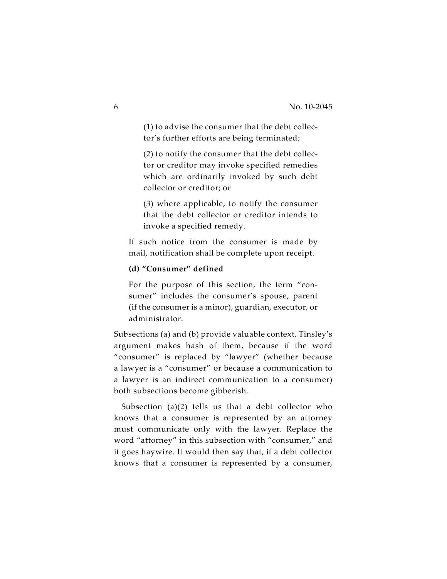(1) to advise the consumer that the debt collector's further efforts are being terminated;

(2) to notify the consumer that the debt collector or creditor may invoke specified remedies which are ordinarily invoked by such debt collector or creditor; or

(3) where applicable, to notify the consumer that the debt collector or creditor intends to invoke a specified remedy.

If such notice from the consumer is made by mail, notification shall be complete upon receipt.

#### **(d) "Consumer" defined**

For the purpose of this section, the term "consumer" includes the consumer's spouse, parent (if the consumer is a minor), guardian, executor, or administrator.

Subsections (a) and (b) provide valuable context. Tinsley's argument makes hash of them, because if the word "consumer" is replaced by "lawyer" (whether because a lawyer is a "consumer" or because a communication to a lawyer is an indirect communication to a consumer) both subsections become gibberish.

Subsection (a)(2) tells us that a debt collector who knows that a consumer is represented by an attorney must communicate only with the lawyer. Replace the word "attorney" in this subsection with "consumer," and it goes haywire. It would then say that, if a debt collector knows that a consumer is represented by a consumer,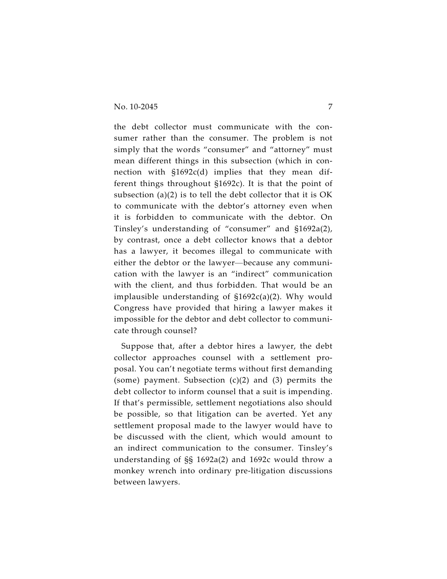the debt collector must communicate with the consumer rather than the consumer. The problem is not simply that the words "consumer" and "attorney" must mean different things in this subsection (which in connection with §1692c(d) implies that they mean different things throughout §1692c). It is that the point of subsection (a)(2) is to tell the debt collector that it is OK to communicate with the debtor's attorney even when it is forbidden to communicate with the debtor. On Tinsley's understanding of "consumer" and §1692a(2), by contrast, once a debt collector knows that a debtor has a lawyer, it becomes illegal to communicate with either the debtor or the lawyer—because any communication with the lawyer is an "indirect" communication with the client, and thus forbidden. That would be an implausible understanding of §1692c(a)(2). Why would Congress have provided that hiring a lawyer makes it impossible for the debtor and debt collector to communicate through counsel?

Suppose that, after a debtor hires a lawyer, the debt collector approaches counsel with a settlement proposal. You can't negotiate terms without first demanding (some) payment. Subsection (c)(2) and (3) permits the debt collector to inform counsel that a suit is impending. If that's permissible, settlement negotiations also should be possible, so that litigation can be averted. Yet any settlement proposal made to the lawyer would have to be discussed with the client, which would amount to an indirect communication to the consumer. Tinsley's understanding of §§ 1692a(2) and 1692c would throw a monkey wrench into ordinary pre-litigation discussions between lawyers.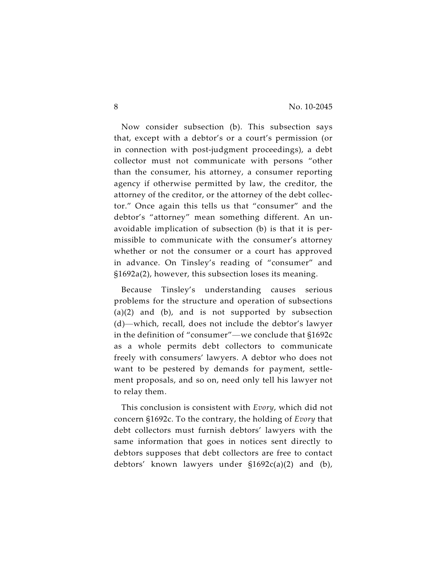Now consider subsection (b). This subsection says that, except with a debtor's or a court's permission (or in connection with post-judgment proceedings), a debt collector must not communicate with persons "other than the consumer, his attorney, a consumer reporting agency if otherwise permitted by law, the creditor, the attorney of the creditor, or the attorney of the debt collector." Once again this tells us that "consumer" and the debtor's "attorney" mean something different. An unavoidable implication of subsection (b) is that it is permissible to communicate with the consumer's attorney whether or not the consumer or a court has approved in advance. On Tinsley's reading of "consumer" and §1692a(2), however, this subsection loses its meaning.

Because Tinsley's understanding causes serious problems for the structure and operation of subsections (a)(2) and (b), and is not supported by subsection (d)—which, recall, does not include the debtor's lawyer in the definition of "consumer"—we conclude that §1692c as a whole permits debt collectors to communicate freely with consumers' lawyers. A debtor who does not want to be pestered by demands for payment, settlement proposals, and so on, need only tell his lawyer not to relay them.

This conclusion is consistent with *Evory*, which did not concern §1692c. To the contrary, the holding of *Evory* that debt collectors must furnish debtors' lawyers with the same information that goes in notices sent directly to debtors supposes that debt collectors are free to contact debtors' known lawyers under §1692c(a)(2) and (b),